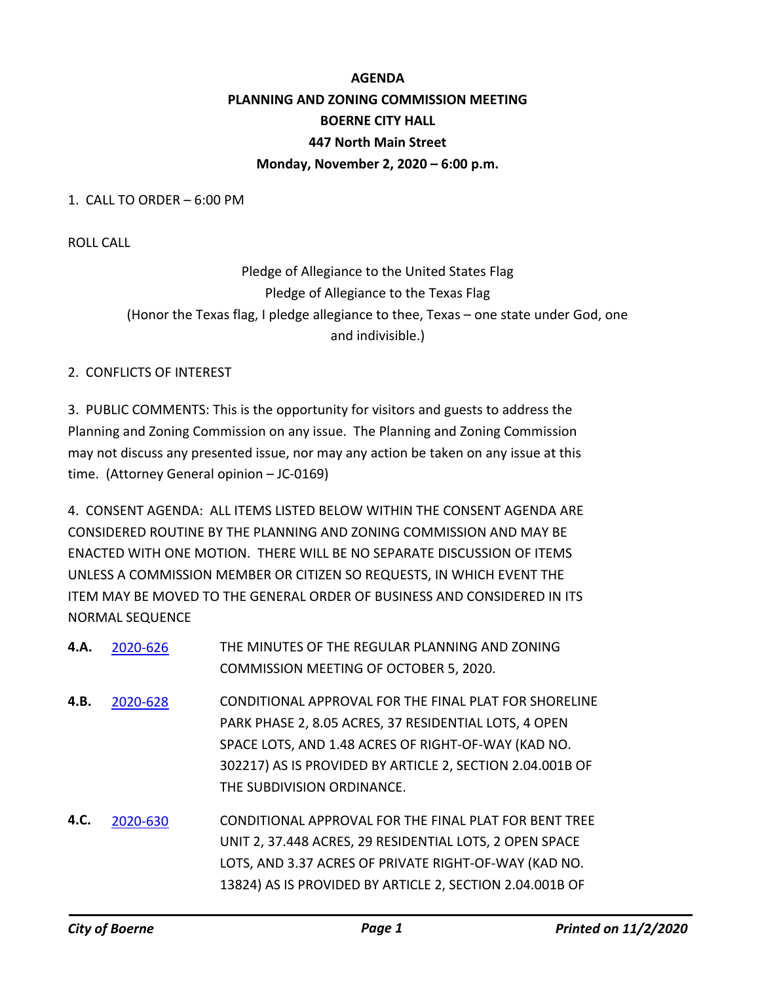# **AGENDA PLANNING AND ZONING COMMISSION MEETING BOERNE CITY HALL 447 North Main Street Monday, November 2, 2020 – 6:00 p.m.**

1. CALL TO ORDER – 6:00 PM

ROLL CALL

Pledge of Allegiance to the United States Flag Pledge of Allegiance to the Texas Flag (Honor the Texas flag, I pledge allegiance to thee, Texas – one state under God, one and indivisible.)

#### 2. CONFLICTS OF INTEREST

3. PUBLIC COMMENTS: This is the opportunity for visitors and guests to address the Planning and Zoning Commission on any issue. The Planning and Zoning Commission may not discuss any presented issue, nor may any action be taken on any issue at this time. (Attorney General opinion – JC-0169)

4. CONSENT AGENDA: ALL ITEMS LISTED BELOW WITHIN THE CONSENT AGENDA ARE CONSIDERED ROUTINE BY THE PLANNING AND ZONING COMMISSION AND MAY BE ENACTED WITH ONE MOTION. THERE WILL BE NO SEPARATE DISCUSSION OF ITEMS UNLESS A COMMISSION MEMBER OR CITIZEN SO REQUESTS, IN WHICH EVENT THE ITEM MAY BE MOVED TO THE GENERAL ORDER OF BUSINESS AND CONSIDERED IN ITS NORMAL SEQUENCE

| 4.A. | 2020-626 | THE MINUTES OF THE REGULAR PLANNING AND ZONING            |
|------|----------|-----------------------------------------------------------|
|      |          | COMMISSION MEETING OF OCTOBER 5, 2020.                    |
| 4.B. | 2020-628 | CONDITIONAL APPROVAL FOR THE FINAL PLAT FOR SHORELINE     |
|      |          | PARK PHASE 2, 8.05 ACRES, 37 RESIDENTIAL LOTS, 4 OPEN     |
|      |          | SPACE LOTS, AND 1.48 ACRES OF RIGHT-OF-WAY (KAD NO.       |
|      |          | 302217) AS IS PROVIDED BY ARTICLE 2, SECTION 2.04.001B OF |
|      |          | THE SUBDIVISION ORDINANCE.                                |
| 4.C. | 2020-630 | CONDITIONAL APPROVAL FOR THE FINAL PLAT FOR BENT TREE     |
|      |          | UNIT 2, 37.448 ACRES, 29 RESIDENTIAL LOTS, 2 OPEN SPACE   |
|      |          | LOTS, AND 3.37 ACRES OF PRIVATE RIGHT-OF-WAY (KAD NO.     |
|      |          | 13824) AS IS PROVIDED BY ARTICLE 2, SECTION 2.04.001B OF  |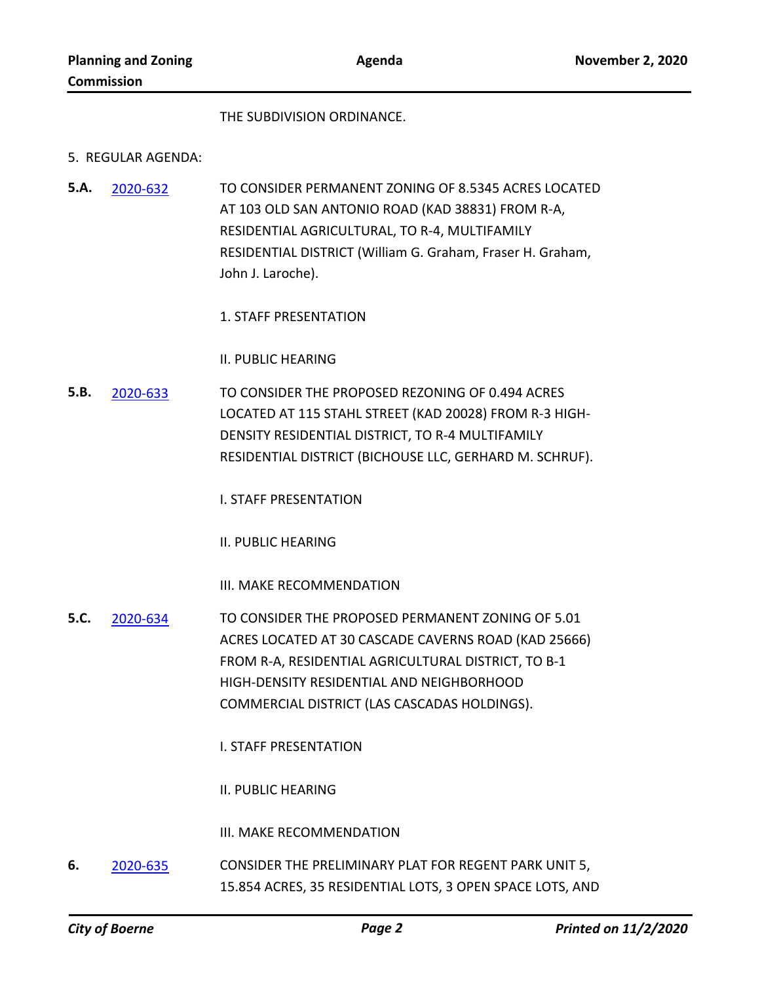#### THE SUBDIVISION ORDINANCE.

#### 5. REGULAR AGENDA:

- TO CONSIDER PERMANENT ZONING OF 8.5345 ACRES LOCATED AT 103 OLD SAN ANTONIO ROAD (KAD 38831) FROM R-A, RESIDENTIAL AGRICULTURAL, TO R-4, MULTIFAMILY RESIDENTIAL DISTRICT (William G. Graham, Fraser H. Graham, John J. Laroche). **5.A.** [2020-632](http://boerne.legistar.com/gateway.aspx?m=l&id=/matter.aspx?key=5551)
	- 1. STAFF PRESENTATION

II. PUBLIC HEARING

TO CONSIDER THE PROPOSED REZONING OF 0.494 ACRES LOCATED AT 115 STAHL STREET (KAD 20028) FROM R-3 HIGH-DENSITY RESIDENTIAL DISTRICT, TO R-4 MULTIFAMILY RESIDENTIAL DISTRICT (BICHOUSE LLC, GERHARD M. SCHRUF). **5.B.** [2020-633](http://boerne.legistar.com/gateway.aspx?m=l&id=/matter.aspx?key=5552)

I. STAFF PRESENTATION

II. PUBLIC HEARING

III. MAKE RECOMMENDATION

- TO CONSIDER THE PROPOSED PERMANENT ZONING OF 5.01 ACRES LOCATED AT 30 CASCADE CAVERNS ROAD (KAD 25666) FROM R-A, RESIDENTIAL AGRICULTURAL DISTRICT, TO B-1 HIGH-DENSITY RESIDENTIAL AND NEIGHBORHOOD COMMERCIAL DISTRICT (LAS CASCADAS HOLDINGS). **5.C.** [2020-634](http://boerne.legistar.com/gateway.aspx?m=l&id=/matter.aspx?key=5553)
	- I. STAFF PRESENTATION

II. PUBLIC HEARING

III. MAKE RECOMMENDATION

CONSIDER THE PRELIMINARY PLAT FOR REGENT PARK UNIT 5, 15.854 ACRES, 35 RESIDENTIAL LOTS, 3 OPEN SPACE LOTS, AND **6.** [2020-635](http://boerne.legistar.com/gateway.aspx?m=l&id=/matter.aspx?key=5554)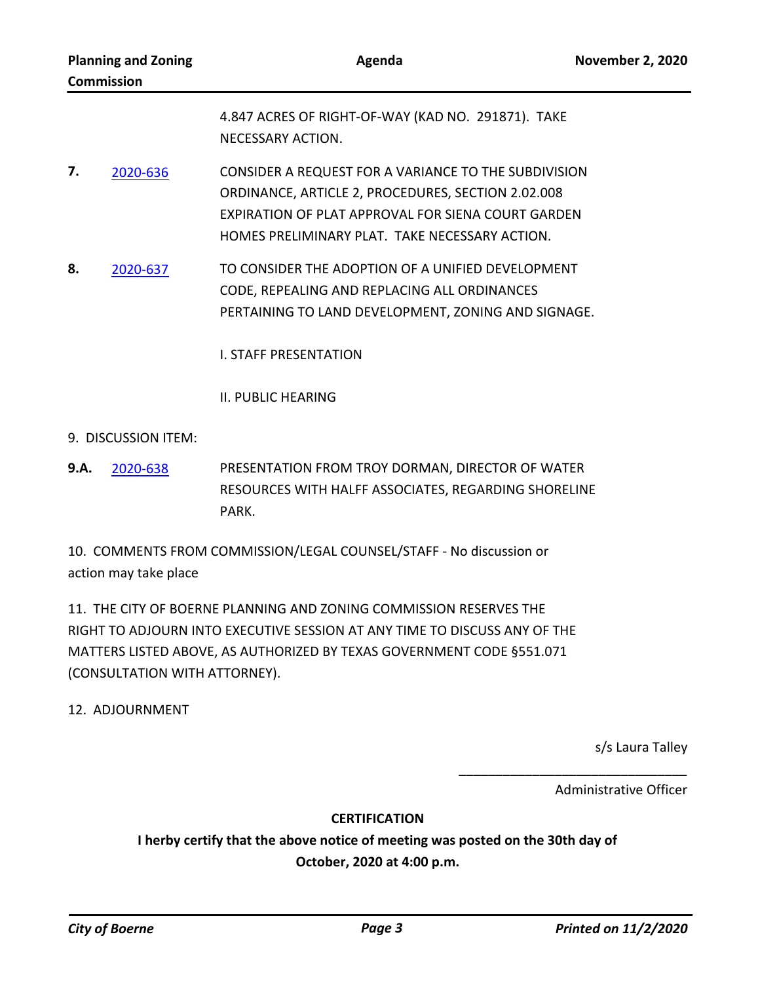| <b>Planning and Zoning</b><br><b>Commission</b> |                   | Agenda                                                                                                                                                                                                             |  |
|-------------------------------------------------|-------------------|--------------------------------------------------------------------------------------------------------------------------------------------------------------------------------------------------------------------|--|
|                                                 | NECESSARY ACTION. | 4.847 ACRES OF RIGHT-OF-WAY (KAD NO. 291871). TAKE                                                                                                                                                                 |  |
| 7.<br>2020-636                                  |                   | CONSIDER A REQUEST FOR A VARIANCE TO THE SUBDIVISION<br>ORDINANCE, ARTICLE 2, PROCEDURES, SECTION 2.02.008<br>EXPIRATION OF PLAT APPROVAL FOR SIENA COURT GARDEN<br>HOMES PRELIMINARY PLAT. TAKE NECESSARY ACTION. |  |
| $\mathbf Q$<br>דכם חרחר                         |                   | TO CONSIDER THE ADORTION OF A LINIEIED DEVELORMENT                                                                                                                                                                 |  |

TO CONSIDER THE ADOPTION OF A UNIFIED DEVELOPMENT CODE, REPEALING AND REPLACING ALL ORDINANCES PERTAINING TO LAND DEVELOPMENT, ZONING AND SIGNAGE. **8.** [2020-637](http://boerne.legistar.com/gateway.aspx?m=l&id=/matter.aspx?key=5556)

I. STAFF PRESENTATION

II. PUBLIC HEARING

- 9. DISCUSSION ITEM:
- PRESENTATION FROM TROY DORMAN, DIRECTOR OF WATER RESOURCES WITH HALFF ASSOCIATES, REGARDING SHORELINE PARK. **9.A.** [2020-638](http://boerne.legistar.com/gateway.aspx?m=l&id=/matter.aspx?key=5557)

10. COMMENTS FROM COMMISSION/LEGAL COUNSEL/STAFF - No discussion or action may take place

11. THE CITY OF BOERNE PLANNING AND ZONING COMMISSION RESERVES THE RIGHT TO ADJOURN INTO EXECUTIVE SESSION AT ANY TIME TO DISCUSS ANY OF THE MATTERS LISTED ABOVE, AS AUTHORIZED BY TEXAS GOVERNMENT CODE §551.071 (CONSULTATION WITH ATTORNEY).

12. ADJOURNMENT

s/s Laura Talley

Administrative Officer

\_\_\_\_\_\_\_\_\_\_\_\_\_\_\_\_\_\_\_\_\_\_\_\_\_\_\_\_\_\_\_

## **CERTIFICATION**

**I herby certify that the above notice of meeting was posted on the 30th day of October, 2020 at 4:00 p.m.**